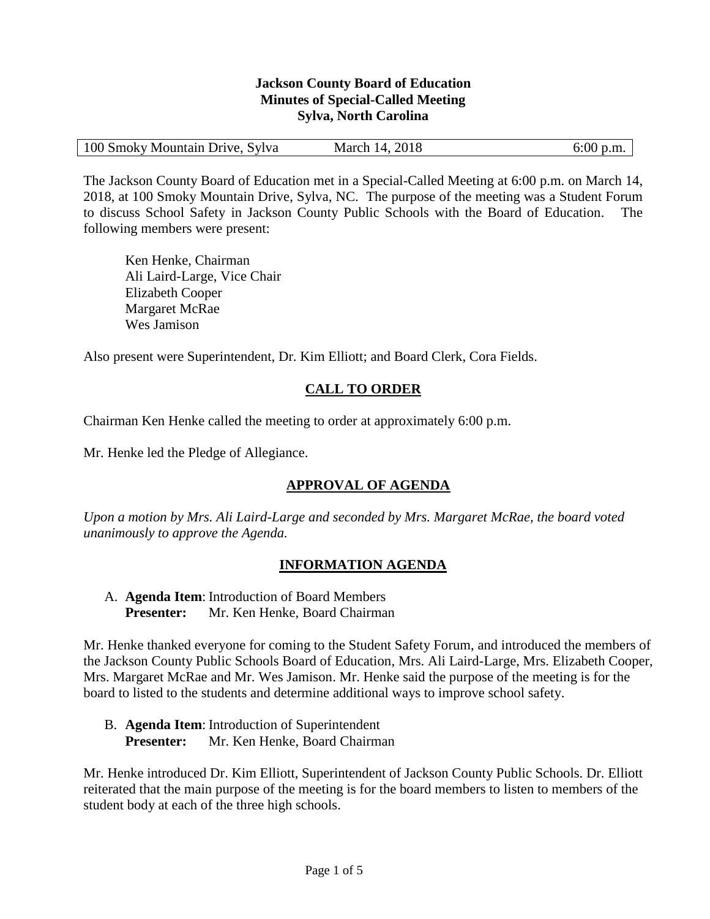#### **Jackson County Board of Education Minutes of Special-Called Meeting Sylva, North Carolina**

| 100 Smoky Mountain Drive, Sylva<br>March 14, 2018 |  |  | $6:00$ p.m. |
|---------------------------------------------------|--|--|-------------|
|---------------------------------------------------|--|--|-------------|

The Jackson County Board of Education met in a Special-Called Meeting at 6:00 p.m. on March 14, 2018, at 100 Smoky Mountain Drive, Sylva, NC. The purpose of the meeting was a Student Forum to discuss School Safety in Jackson County Public Schools with the Board of Education. The following members were present:

Ken Henke, Chairman Ali Laird-Large, Vice Chair Elizabeth Cooper Margaret McRae Wes Jamison

Also present were Superintendent, Dr. Kim Elliott; and Board Clerk, Cora Fields.

# **CALL TO ORDER**

Chairman Ken Henke called the meeting to order at approximately 6:00 p.m.

Mr. Henke led the Pledge of Allegiance.

# **APPROVAL OF AGENDA**

*Upon a motion by Mrs. Ali Laird-Large and seconded by Mrs. Margaret McRae, the board voted unanimously to approve the Agenda.*

#### **INFORMATION AGENDA**

A. **Agenda Item**: Introduction of Board Members **Presenter:** Mr. Ken Henke, Board Chairman

Mr. Henke thanked everyone for coming to the Student Safety Forum, and introduced the members of the Jackson County Public Schools Board of Education, Mrs. Ali Laird-Large, Mrs. Elizabeth Cooper, Mrs. Margaret McRae and Mr. Wes Jamison. Mr. Henke said the purpose of the meeting is for the board to listed to the students and determine additional ways to improve school safety.

B. **Agenda Item**: Introduction of Superintendent **Presenter:** Mr. Ken Henke, Board Chairman

Mr. Henke introduced Dr. Kim Elliott, Superintendent of Jackson County Public Schools. Dr. Elliott reiterated that the main purpose of the meeting is for the board members to listen to members of the student body at each of the three high schools.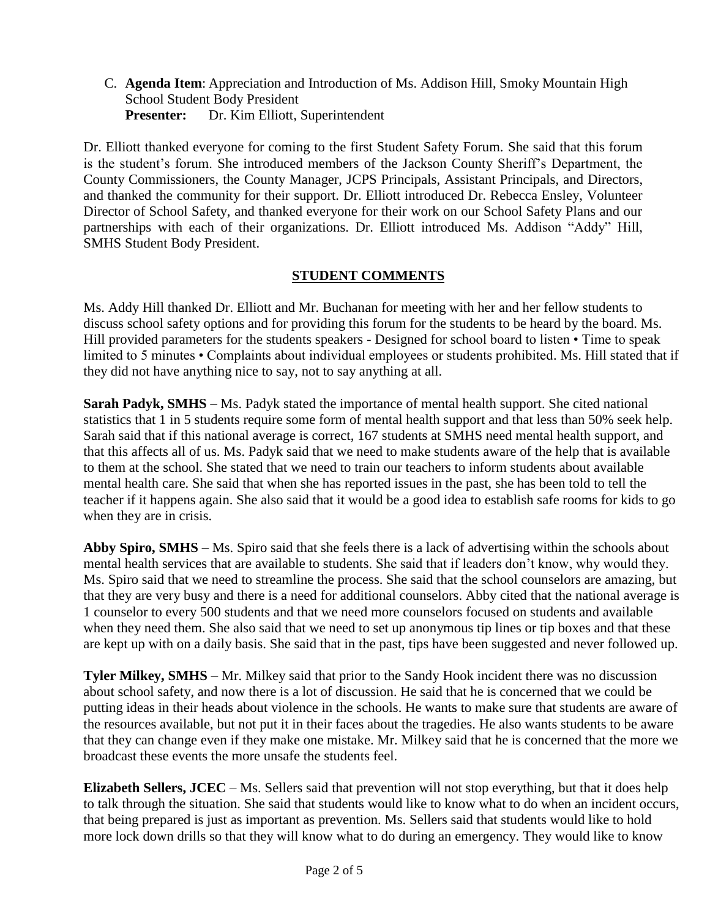C. **Agenda Item**: Appreciation and Introduction of Ms. Addison Hill, Smoky Mountain High School Student Body President **Presenter:** Dr. Kim Elliott, Superintendent

Dr. Elliott thanked everyone for coming to the first Student Safety Forum. She said that this forum is the student's forum. She introduced members of the Jackson County Sheriff's Department, the County Commissioners, the County Manager, JCPS Principals, Assistant Principals, and Directors, and thanked the community for their support. Dr. Elliott introduced Dr. Rebecca Ensley, Volunteer Director of School Safety, and thanked everyone for their work on our School Safety Plans and our partnerships with each of their organizations. Dr. Elliott introduced Ms. Addison "Addy" Hill, SMHS Student Body President.

## **STUDENT COMMENTS**

Ms. Addy Hill thanked Dr. Elliott and Mr. Buchanan for meeting with her and her fellow students to discuss school safety options and for providing this forum for the students to be heard by the board. Ms. Hill provided parameters for the students speakers - Designed for school board to listen • Time to speak limited to 5 minutes • Complaints about individual employees or students prohibited. Ms. Hill stated that if they did not have anything nice to say, not to say anything at all.

**Sarah Padyk, SMHS** – Ms. Padyk stated the importance of mental health support. She cited national statistics that 1 in 5 students require some form of mental health support and that less than 50% seek help. Sarah said that if this national average is correct, 167 students at SMHS need mental health support, and that this affects all of us. Ms. Padyk said that we need to make students aware of the help that is available to them at the school. She stated that we need to train our teachers to inform students about available mental health care. She said that when she has reported issues in the past, she has been told to tell the teacher if it happens again. She also said that it would be a good idea to establish safe rooms for kids to go when they are in crisis.

**Abby Spiro, SMHS** – Ms. Spiro said that she feels there is a lack of advertising within the schools about mental health services that are available to students. She said that if leaders don't know, why would they. Ms. Spiro said that we need to streamline the process. She said that the school counselors are amazing, but that they are very busy and there is a need for additional counselors. Abby cited that the national average is 1 counselor to every 500 students and that we need more counselors focused on students and available when they need them. She also said that we need to set up anonymous tip lines or tip boxes and that these are kept up with on a daily basis. She said that in the past, tips have been suggested and never followed up.

**Tyler Milkey, SMHS** – Mr. Milkey said that prior to the Sandy Hook incident there was no discussion about school safety, and now there is a lot of discussion. He said that he is concerned that we could be putting ideas in their heads about violence in the schools. He wants to make sure that students are aware of the resources available, but not put it in their faces about the tragedies. He also wants students to be aware that they can change even if they make one mistake. Mr. Milkey said that he is concerned that the more we broadcast these events the more unsafe the students feel.

**Elizabeth Sellers, JCEC** – Ms. Sellers said that prevention will not stop everything, but that it does help to talk through the situation. She said that students would like to know what to do when an incident occurs, that being prepared is just as important as prevention. Ms. Sellers said that students would like to hold more lock down drills so that they will know what to do during an emergency. They would like to know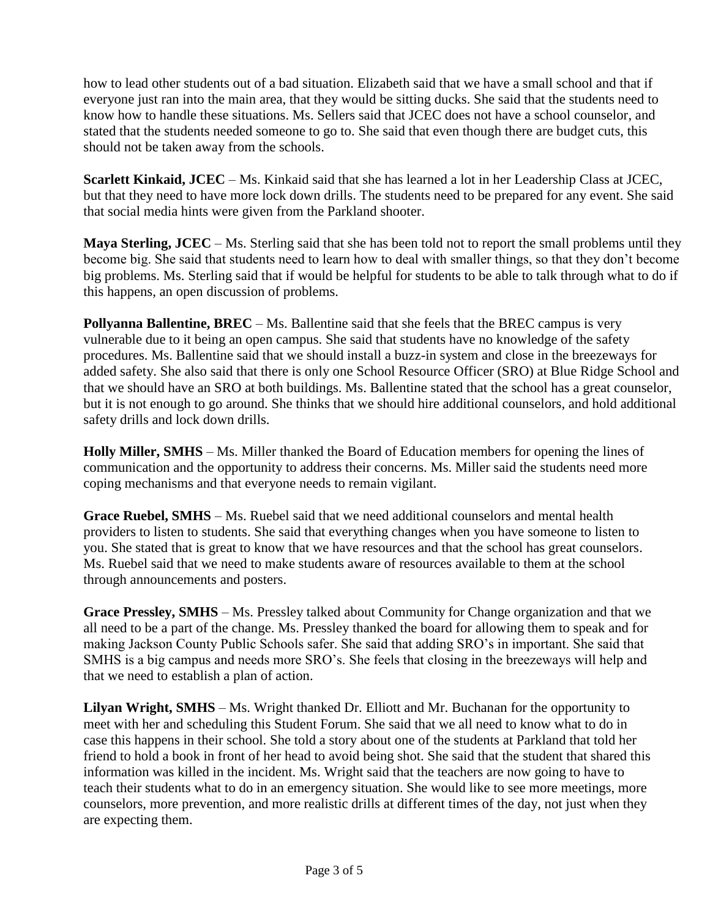how to lead other students out of a bad situation. Elizabeth said that we have a small school and that if everyone just ran into the main area, that they would be sitting ducks. She said that the students need to know how to handle these situations. Ms. Sellers said that JCEC does not have a school counselor, and stated that the students needed someone to go to. She said that even though there are budget cuts, this should not be taken away from the schools.

**Scarlett Kinkaid, JCEC** – Ms. Kinkaid said that she has learned a lot in her Leadership Class at JCEC, but that they need to have more lock down drills. The students need to be prepared for any event. She said that social media hints were given from the Parkland shooter.

**Maya Sterling, JCEC** – Ms. Sterling said that she has been told not to report the small problems until they become big. She said that students need to learn how to deal with smaller things, so that they don't become big problems. Ms. Sterling said that if would be helpful for students to be able to talk through what to do if this happens, an open discussion of problems.

**Pollyanna Ballentine, BREC** – Ms. Ballentine said that she feels that the BREC campus is very vulnerable due to it being an open campus. She said that students have no knowledge of the safety procedures. Ms. Ballentine said that we should install a buzz-in system and close in the breezeways for added safety. She also said that there is only one School Resource Officer (SRO) at Blue Ridge School and that we should have an SRO at both buildings. Ms. Ballentine stated that the school has a great counselor, but it is not enough to go around. She thinks that we should hire additional counselors, and hold additional safety drills and lock down drills.

**Holly Miller, SMHS** – Ms. Miller thanked the Board of Education members for opening the lines of communication and the opportunity to address their concerns. Ms. Miller said the students need more coping mechanisms and that everyone needs to remain vigilant.

**Grace Ruebel, SMHS** – Ms. Ruebel said that we need additional counselors and mental health providers to listen to students. She said that everything changes when you have someone to listen to you. She stated that is great to know that we have resources and that the school has great counselors. Ms. Ruebel said that we need to make students aware of resources available to them at the school through announcements and posters.

**Grace Pressley, SMHS** – Ms. Pressley talked about Community for Change organization and that we all need to be a part of the change. Ms. Pressley thanked the board for allowing them to speak and for making Jackson County Public Schools safer. She said that adding SRO's in important. She said that SMHS is a big campus and needs more SRO's. She feels that closing in the breezeways will help and that we need to establish a plan of action.

**Lilyan Wright, SMHS** – Ms. Wright thanked Dr. Elliott and Mr. Buchanan for the opportunity to meet with her and scheduling this Student Forum. She said that we all need to know what to do in case this happens in their school. She told a story about one of the students at Parkland that told her friend to hold a book in front of her head to avoid being shot. She said that the student that shared this information was killed in the incident. Ms. Wright said that the teachers are now going to have to teach their students what to do in an emergency situation. She would like to see more meetings, more counselors, more prevention, and more realistic drills at different times of the day, not just when they are expecting them.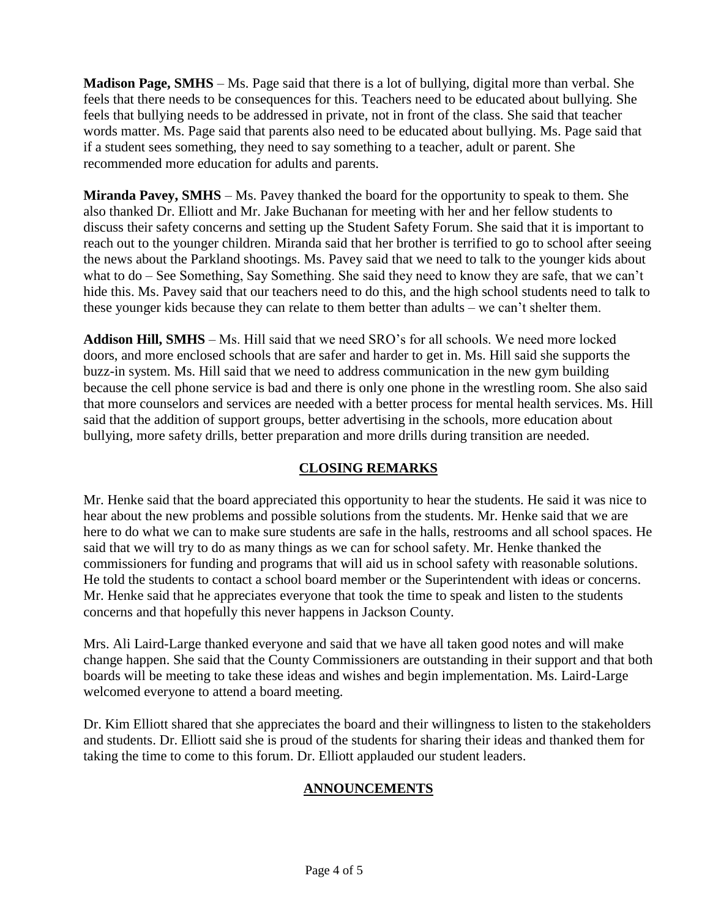**Madison Page, SMHS** – Ms. Page said that there is a lot of bullying, digital more than verbal. She feels that there needs to be consequences for this. Teachers need to be educated about bullying. She feels that bullying needs to be addressed in private, not in front of the class. She said that teacher words matter. Ms. Page said that parents also need to be educated about bullying. Ms. Page said that if a student sees something, they need to say something to a teacher, adult or parent. She recommended more education for adults and parents.

**Miranda Pavey, SMHS** – Ms. Pavey thanked the board for the opportunity to speak to them. She also thanked Dr. Elliott and Mr. Jake Buchanan for meeting with her and her fellow students to discuss their safety concerns and setting up the Student Safety Forum. She said that it is important to reach out to the younger children. Miranda said that her brother is terrified to go to school after seeing the news about the Parkland shootings. Ms. Pavey said that we need to talk to the younger kids about what to do – See Something, Say Something. She said they need to know they are safe, that we can't hide this. Ms. Pavey said that our teachers need to do this, and the high school students need to talk to these younger kids because they can relate to them better than adults – we can't shelter them.

**Addison Hill, SMHS** – Ms. Hill said that we need SRO's for all schools. We need more locked doors, and more enclosed schools that are safer and harder to get in. Ms. Hill said she supports the buzz-in system. Ms. Hill said that we need to address communication in the new gym building because the cell phone service is bad and there is only one phone in the wrestling room. She also said that more counselors and services are needed with a better process for mental health services. Ms. Hill said that the addition of support groups, better advertising in the schools, more education about bullying, more safety drills, better preparation and more drills during transition are needed.

# **CLOSING REMARKS**

Mr. Henke said that the board appreciated this opportunity to hear the students. He said it was nice to hear about the new problems and possible solutions from the students. Mr. Henke said that we are here to do what we can to make sure students are safe in the halls, restrooms and all school spaces. He said that we will try to do as many things as we can for school safety. Mr. Henke thanked the commissioners for funding and programs that will aid us in school safety with reasonable solutions. He told the students to contact a school board member or the Superintendent with ideas or concerns. Mr. Henke said that he appreciates everyone that took the time to speak and listen to the students concerns and that hopefully this never happens in Jackson County.

Mrs. Ali Laird-Large thanked everyone and said that we have all taken good notes and will make change happen. She said that the County Commissioners are outstanding in their support and that both boards will be meeting to take these ideas and wishes and begin implementation. Ms. Laird-Large welcomed everyone to attend a board meeting.

Dr. Kim Elliott shared that she appreciates the board and their willingness to listen to the stakeholders and students. Dr. Elliott said she is proud of the students for sharing their ideas and thanked them for taking the time to come to this forum. Dr. Elliott applauded our student leaders.

# **ANNOUNCEMENTS**